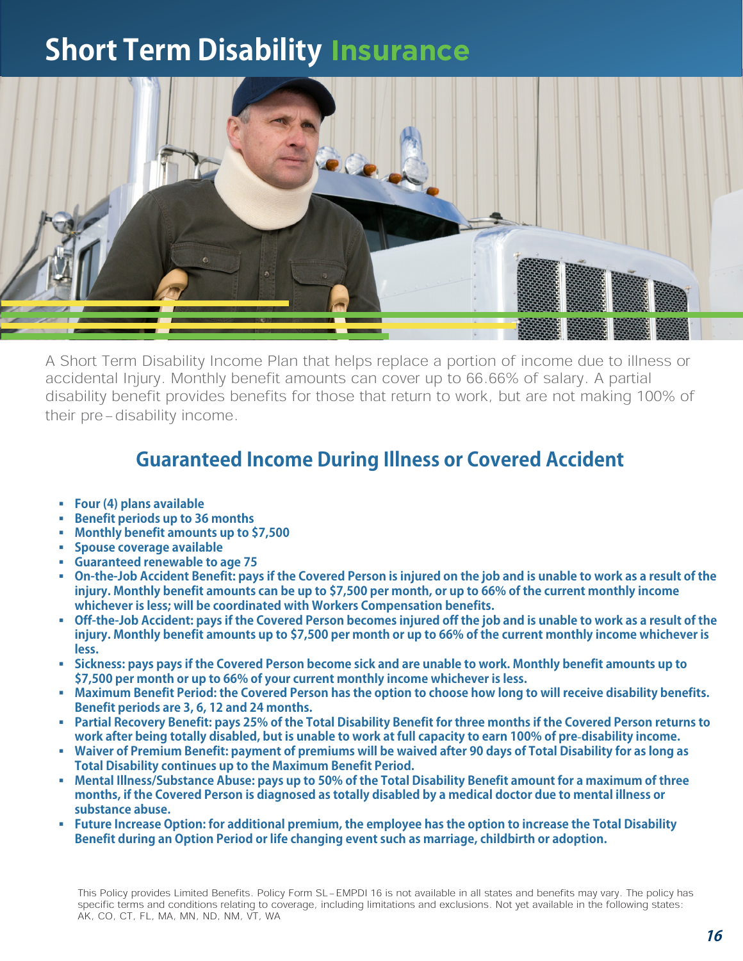## **Short Term Disability Insurance**



A Short Term Disability Income Plan that helps replace a portion of income due to illness or accidental Injury. Monthly benefit amounts can cover up to 66.66% of salary. A partial disability benefit provides benefits for those that return to work, but are not making 100% of their pre-disability income.

## **Guaranteed Income During Illness or Covered Accident**

- **Four (4) plans available**
- **Benefit periods up to 36 months**
- **Monthly benefit amounts up to \$7,500**
- **Spouse coverage available**
- **Guaranteed renewable to age 75**
- **On-the-Job Accident Benefit: pays if the Covered Person is injured on the job and is unable to work as a result of the injury. Monthly benefit amounts can be up to \$7,500 per month, or up to 66% of the current monthly income whichever is less; will be coordinated with Workers Compensation benefits.**
- **Off-the-Job Accident: pays if the Covered Person becomes injured off the job and is unable to work as a result of the injury. Monthly benefit amounts up to \$7,500 per month or up to 66% of the current monthly income whichever is less.**
- **Sickness: pays pays if the Covered Person become sick and are unable to work. Monthly benefit amounts up to \$7,500 per month or up to 66% of your current monthly income whichever is less.**
- **Maximum Benefit Period: the Covered Person has the option to choose how long to will receive disability benefits. Benefit periods are 3, 6, 12 and 24 months.**
- **Partial Recovery Benefit: pays 25% of the Total Disability Benefit for three months if the Covered Person returns to work after being totally disabled, but is unable to work at full capacity to earn 100% of predisability income.**
- **Waiver of Premium Benefit: payment of premiums will be waived after 90 days of Total Disability for as long as Total Disability continues up to the Maximum Benefit Period.**
- **Mental Illness/Substance Abuse: pays up to 50% of the Total Disability Benefit amount for a maximum of three months, if the Covered Person is diagnosed as totally disabled by a medical doctor due to mental illness or substance abuse.**
- **Future Increase Option: for additional premium, the employee has the option to increase the Total Disability Benefit during an Option Period or life changing event such as marriage, childbirth or adoption.**